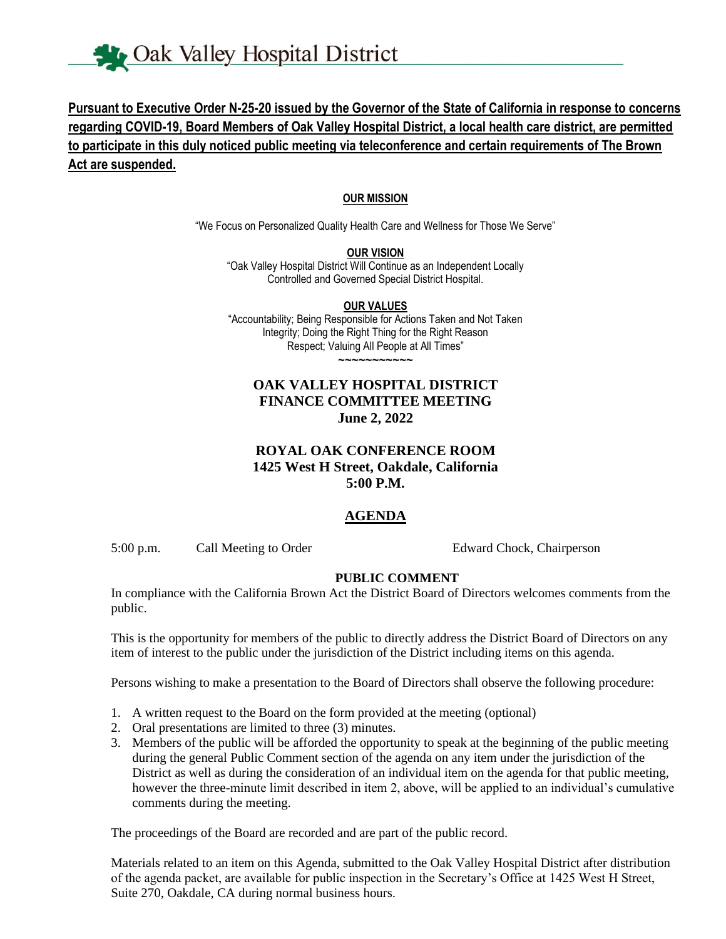# **Pursuant to Executive Order N-25-20 issued by the Governor of the State of California in response to concerns regarding COVID-19, Board Members of Oak Valley Hospital District, a local health care district, are permitted to participate in this duly noticed public meeting via teleconference and certain requirements of The Brown Act are suspended.**

#### **OUR MISSION**

"We Focus on Personalized Quality Health Care and Wellness for Those We Serve"

**OUR VISION**

"Oak Valley Hospital District Will Continue as an Independent Locally Controlled and Governed Special District Hospital.

**OUR VALUES** "Accountability; Being Responsible for Actions Taken and Not Taken Integrity; Doing the Right Thing for the Right Reason Respect; Valuing All People at All Times" ~~~~~~~~~~~

### **OAK VALLEY HOSPITAL DISTRICT FINANCE COMMITTEE MEETING June 2, 2022**

#### **ROYAL OAK CONFERENCE ROOM 1425 West H Street, Oakdale, California 5:00 P.M.**

### **AGENDA**

5:00 p.m. Call Meeting to Order Edward Chock, Chairperson

#### **PUBLIC COMMENT**

In compliance with the California Brown Act the District Board of Directors welcomes comments from the public.

This is the opportunity for members of the public to directly address the District Board of Directors on any item of interest to the public under the jurisdiction of the District including items on this agenda.

Persons wishing to make a presentation to the Board of Directors shall observe the following procedure:

- 1. A written request to the Board on the form provided at the meeting (optional)
- 2. Oral presentations are limited to three (3) minutes.
- 3. Members of the public will be afforded the opportunity to speak at the beginning of the public meeting during the general Public Comment section of the agenda on any item under the jurisdiction of the District as well as during the consideration of an individual item on the agenda for that public meeting, however the three-minute limit described in item 2, above, will be applied to an individual's cumulative comments during the meeting.

The proceedings of the Board are recorded and are part of the public record.

Materials related to an item on this Agenda, submitted to the Oak Valley Hospital District after distribution of the agenda packet, are available for public inspection in the Secretary's Office at 1425 West H Street, Suite 270, Oakdale, CA during normal business hours.